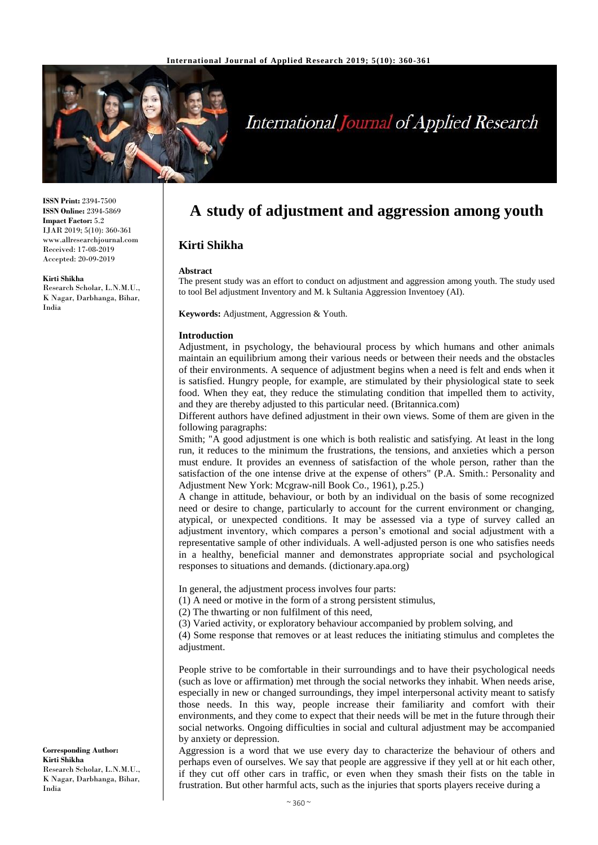

# **International Journal of Applied Research**

**ISSN Print:** 2394-7500 **ISSN Online:** 2394-5869 **Impact Factor:** 5.2 IJAR 2019; 5(10): 360-361 www.allresearchjournal.com Received: 17-08-2019 Accepted: 20-09-2019

#### **Kirti Shikha**

Research Scholar, L.N.M.U., K Nagar, Darbhanga, Bihar, India

## **A study of adjustment and aggression among youth**

### **Kirti Shikha**

#### **Abstract**

The present study was an effort to conduct on adjustment and aggression among youth. The study used to tool Bel adjustment Inventory and M. k Sultania Aggression Inventoey (AI).

**Keywords:** Adjustment, Aggression & Youth.

#### **Introduction**

Adjustment, in psychology, the behavioural process by which humans and other animals maintain an equilibrium among their various needs or between their needs and the obstacles of their environments. A sequence of adjustment begins when a need is felt and ends when it is satisfied. Hungry people, for example, are stimulated by their physiological state to seek food. When they eat, they reduce the stimulating condition that impelled them to activity, and they are thereby adjusted to this particular need. (Britannica.com)

Different authors have defined adjustment in their own views. Some of them are given in the following paragraphs:

Smith; "A good adjustment is one which is both realistic and satisfying. At least in the long run, it reduces to the minimum the frustrations, the tensions, and anxieties which a person must endure. It provides an evenness of satisfaction of the whole person, rather than the satisfaction of the one intense drive at the expense of others" (P.A. Smith.: Personality and Adjustment New York: Mcgraw-nill Book Co., 1961), p.25.)

A change in attitude, behaviour, or both by an individual on the basis of some recognized need or desire to change, particularly to account for the current environment or changing, atypical, or unexpected conditions. It may be assessed via a type of survey called an adjustment inventory, which compares a person's emotional and social adjustment with a representative sample of other individuals. A well-adjusted person is one who satisfies needs in a healthy, beneficial manner and demonstrates appropriate social and psychological responses to situations and demands. (dictionary.apa.org)

In general, the adjustment process involves four parts:

(1) A need or motive in the form of a strong persistent stimulus,

(2) The thwarting or non fulfilment of this need,

(3) Varied activity, or exploratory behaviour accompanied by problem solving, and

(4) Some response that removes or at least reduces the initiating stimulus and completes the adjustment.

People strive to be comfortable in their surroundings and to have their psychological needs (such as love or affirmation) met through the social networks they inhabit. When needs arise, especially in new or changed surroundings, they impel interpersonal activity meant to satisfy those needs. In this way, people increase their familiarity and comfort with their environments, and they come to expect that their needs will be met in the future through their social networks. Ongoing difficulties in social and cultural adjustment may be accompanied by anxiety or depression.

Aggression is a word that we use every day to characterize the behaviour of others and perhaps even of ourselves. We say that people are aggressive if they yell at or hit each other, if they cut off other cars in traffic, or even when they smash their fists on the table in frustration. But other harmful acts, such as the injuries that sports players receive during a

**Corresponding Author: Kirti Shikha** Research Scholar, L.N.M.U., K Nagar, Darbhanga, Bihar, India